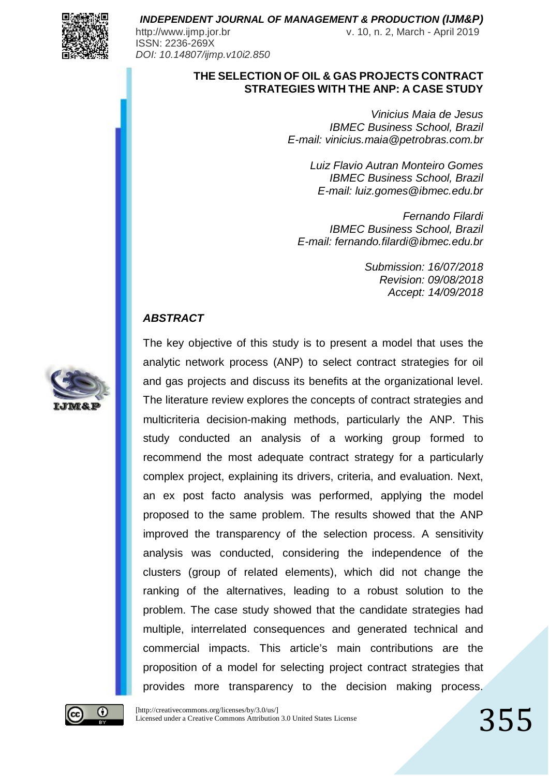

ISSN: 2236-269X *DOI: 10.14807/ijmp.v10i2.850*

http://www.ijmp.jor.br v. 10, n. 2, March - April 2019

### **THE SELECTION OF OIL & GAS PROJECTS CONTRACT STRATEGIES WITH THE ANP: A CASE STUDY**

*Vinicius Maia de Jesus IBMEC Business School, Brazil E-mail: vinicius.maia@petrobras.com.br*

> *Luiz Flavio Autran Monteiro Gomes IBMEC Business School, Brazil E-mail: luiz.gomes@ibmec.edu.br*

*Fernando Filardi IBMEC Business School, Brazil E-mail: fernando.filardi@ibmec.edu.br*

> *Submission: 16/07/2018 Revision: 09/08/2018 Accept: 14/09/2018*

### *ABSTRACT*

analytic network process (ANP) to select contract strategies for oil and gas projects and discuss its benefits at the organizational level. The literature review explores the concepts of contract strategies and multicriteria decision-making methods, particularly the ANP. This study conducted an analysis of a working group formed to recommend the most adequate contract strategy for a particularly complex project, explaining its drivers, criteria, and evaluation. Next, an ex post facto analysis was performed, applying the model proposed to the same problem. The results showed that the ANP improved the transparency of the selection process. A sensitivity analysis was conducted, considering the independence of the clusters (group of related elements), which did not change the ranking of the alternatives, leading to a robust solution to the problem. The case study showed that the candidate strategies had multiple, interrelated consequences and generated technical and commercial impacts. This article's main contributions are the proposition of a model for selecting project contract strategies that provides more transparency to the decision making process.

The key objective of this study is to present a model that uses the



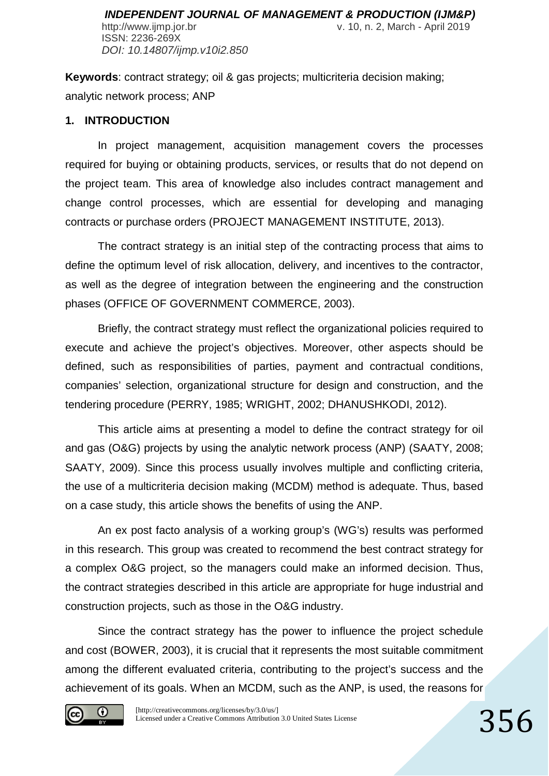ISSN: 2236-269X *DOI: 10.14807/ijmp.v10i2.850*

**Keywords**: contract strategy; oil & gas projects; multicriteria decision making; analytic network process; ANP

### **1. INTRODUCTION**

In project management, acquisition management covers the processes required for buying or obtaining products, services, or results that do not depend on the project team. This area of knowledge also includes contract management and change control processes, which are essential for developing and managing contracts or purchase orders (PROJECT MANAGEMENT INSTITUTE, 2013).

The contract strategy is an initial step of the contracting process that aims to define the optimum level of risk allocation, delivery, and incentives to the contractor, as well as the degree of integration between the engineering and the construction phases (OFFICE OF GOVERNMENT COMMERCE, 2003).

Briefly, the contract strategy must reflect the organizational policies required to execute and achieve the project's objectives. Moreover, other aspects should be defined, such as responsibilities of parties, payment and contractual conditions, companies' selection, organizational structure for design and construction, and the tendering procedure (PERRY, 1985; WRIGHT, 2002; DHANUSHKODI, 2012).

This article aims at presenting a model to define the contract strategy for oil and gas (O&G) projects by using the analytic network process (ANP) (SAATY, 2008; SAATY, 2009). Since this process usually involves multiple and conflicting criteria, the use of a multicriteria decision making (MCDM) method is adequate. Thus, based on a case study, this article shows the benefits of using the ANP.

An ex post facto analysis of a working group's (WG's) results was performed in this research. This group was created to recommend the best contract strategy for a complex O&G project, so the managers could make an informed decision. Thus, the contract strategies described in this article are appropriate for huge industrial and construction projects, such as those in the O&G industry.

Since the contract strategy has the power to influence the project schedule and cost (BOWER, 2003), it is crucial that it represents the most suitable commitment among the different evaluated criteria, contributing to the project's success and the achievement of its goals. When an MCDM, such as the ANP, is used, the reasons for

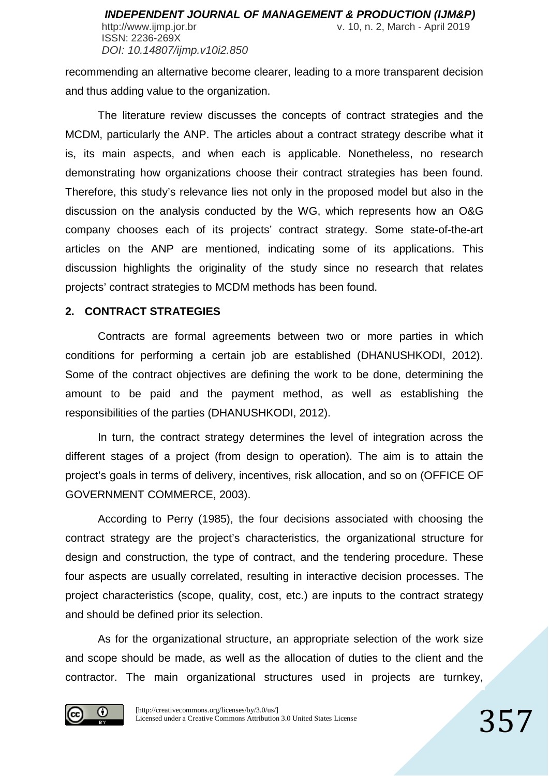ISSN: 2236-269X *DOI: 10.14807/ijmp.v10i2.850*

recommending an alternative become clearer, leading to a more transparent decision and thus adding value to the organization.

The literature review discusses the concepts of contract strategies and the MCDM, particularly the ANP. The articles about a contract strategy describe what it is, its main aspects, and when each is applicable. Nonetheless, no research demonstrating how organizations choose their contract strategies has been found. Therefore, this study's relevance lies not only in the proposed model but also in the discussion on the analysis conducted by the WG, which represents how an O&G company chooses each of its projects' contract strategy. Some state-of-the-art articles on the ANP are mentioned, indicating some of its applications. This discussion highlights the originality of the study since no research that relates projects' contract strategies to MCDM methods has been found.

### **2. CONTRACT STRATEGIES**

Contracts are formal agreements between two or more parties in which conditions for performing a certain job are established (DHANUSHKODI, 2012). Some of the contract objectives are defining the work to be done, determining the amount to be paid and the payment method, as well as establishing the responsibilities of the parties (DHANUSHKODI, 2012).

In turn, the contract strategy determines the level of integration across the different stages of a project (from design to operation). The aim is to attain the project's goals in terms of delivery, incentives, risk allocation, and so on (OFFICE OF GOVERNMENT COMMERCE, 2003).

According to Perry (1985), the four decisions associated with choosing the contract strategy are the project's characteristics, the organizational structure for design and construction, the type of contract, and the tendering procedure. These four aspects are usually correlated, resulting in interactive decision processes. The project characteristics (scope, quality, cost, etc.) are inputs to the contract strategy and should be defined prior its selection.

As for the organizational structure, an appropriate selection of the work size and scope should be made, as well as the allocation of duties to the client and the contractor. The main organizational structures used in projects are turnkey,

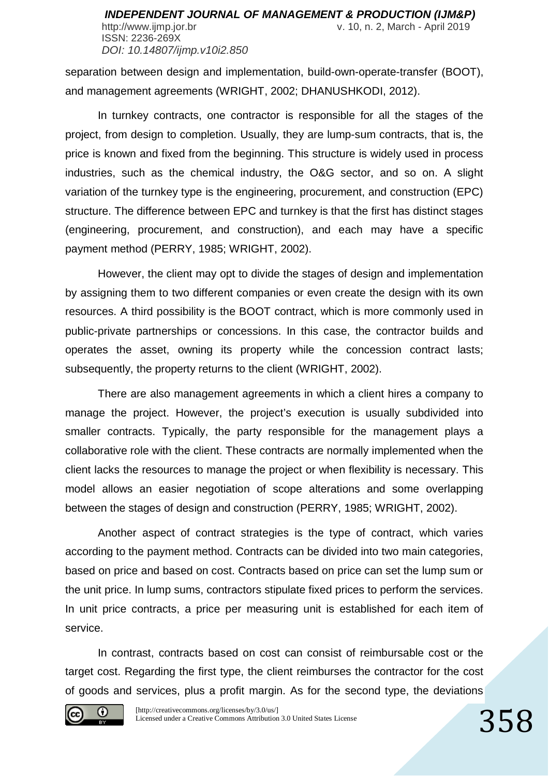separation between design and implementation, build-own-operate-transfer (BOOT), and management agreements (WRIGHT, 2002; DHANUSHKODI, 2012).

*DOI: 10.14807/ijmp.v10i2.850*

In turnkey contracts, one contractor is responsible for all the stages of the project, from design to completion. Usually, they are lump-sum contracts, that is, the price is known and fixed from the beginning. This structure is widely used in process industries, such as the chemical industry, the O&G sector, and so on. A slight variation of the turnkey type is the engineering, procurement, and construction (EPC) structure. The difference between EPC and turnkey is that the first has distinct stages (engineering, procurement, and construction), and each may have a specific payment method (PERRY, 1985; WRIGHT, 2002).

However, the client may opt to divide the stages of design and implementation by assigning them to two different companies or even create the design with its own resources. A third possibility is the BOOT contract, which is more commonly used in public-private partnerships or concessions. In this case, the contractor builds and operates the asset, owning its property while the concession contract lasts; subsequently, the property returns to the client (WRIGHT, 2002).

There are also management agreements in which a client hires a company to manage the project. However, the project's execution is usually subdivided into smaller contracts. Typically, the party responsible for the management plays a collaborative role with the client. These contracts are normally implemented when the client lacks the resources to manage the project or when flexibility is necessary. This model allows an easier negotiation of scope alterations and some overlapping between the stages of design and construction (PERRY, 1985; WRIGHT, 2002).

Another aspect of contract strategies is the type of contract, which varies according to the payment method. Contracts can be divided into two main categories, based on price and based on cost. Contracts based on price can set the lump sum or the unit price. In lump sums, contractors stipulate fixed prices to perform the services. In unit price contracts, a price per measuring unit is established for each item of service.

In contrast, contracts based on cost can consist of reimbursable cost or the target cost. Regarding the first type, the client reimburses the contractor for the cost of goods and services, plus a profit margin. As for the second type, the deviations

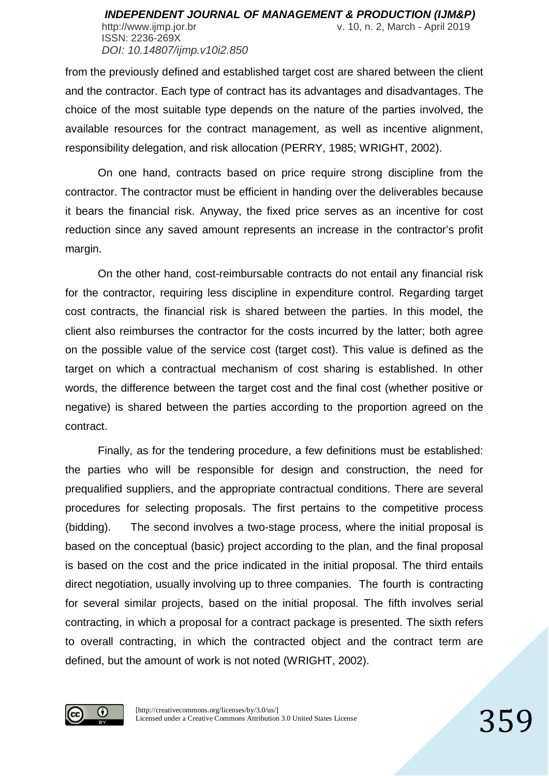http://www.ijmp.jor.br v. 10, n. 2, March - April 2019 ISSN: 2236-269X *DOI: 10.14807/ijmp.v10i2.850*

from the previously defined and established target cost are shared between the client and the contractor. Each type of contract has its advantages and disadvantages. The choice of the most suitable type depends on the nature of the parties involved, the available resources for the contract management, as well as incentive alignment, responsibility delegation, and risk allocation (PERRY, 1985; WRIGHT, 2002).

On one hand, contracts based on price require strong discipline from the contractor. The contractor must be efficient in handing over the deliverables because it bears the financial risk. Anyway, the fixed price serves as an incentive for cost reduction since any saved amount represents an increase in the contractor's profit margin.

On the other hand, cost-reimbursable contracts do not entail any financial risk for the contractor, requiring less discipline in expenditure control. Regarding target cost contracts, the financial risk is shared between the parties. In this model, the client also reimburses the contractor for the costs incurred by the latter; both agree on the possible value of the service cost (target cost). This value is defined as the target on which a contractual mechanism of cost sharing is established. In other words, the difference between the target cost and the final cost (whether positive or negative) is shared between the parties according to the proportion agreed on the contract.

Finally, as for the tendering procedure, a few definitions must be established: the parties who will be responsible for design and construction, the need for prequalified suppliers, and the appropriate contractual conditions. There are several procedures for selecting proposals. The first pertains to the competitive process (bidding). The second involves a two-stage process, where the initial proposal is based on the conceptual (basic) project according to the plan, and the final proposal is based on the cost and the price indicated in the initial proposal. The third entails direct negotiation, usually involving up to three companies. The fourth is contracting for several similar projects, based on the initial proposal. The fifth involves serial contracting, in which a proposal for a contract package is presented. The sixth refers to overall contracting, in which the contracted object and the contract term are defined, but the amount of work is not noted (WRIGHT, 2002).

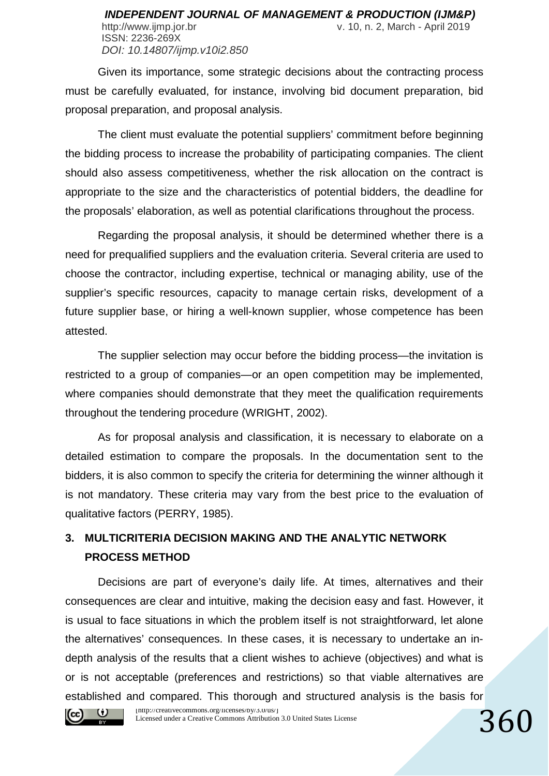ISSN: 2236-269X *DOI: 10.14807/ijmp.v10i2.850*

Given its importance, some strategic decisions about the contracting process must be carefully evaluated, for instance, involving bid document preparation, bid proposal preparation, and proposal analysis.

The client must evaluate the potential suppliers' commitment before beginning the bidding process to increase the probability of participating companies. The client should also assess competitiveness, whether the risk allocation on the contract is appropriate to the size and the characteristics of potential bidders, the deadline for the proposals' elaboration, as well as potential clarifications throughout the process.

Regarding the proposal analysis, it should be determined whether there is a need for prequalified suppliers and the evaluation criteria. Several criteria are used to choose the contractor, including expertise, technical or managing ability, use of the supplier's specific resources, capacity to manage certain risks, development of a future supplier base, or hiring a well-known supplier, whose competence has been attested.

The supplier selection may occur before the bidding process—the invitation is restricted to a group of companies—or an open competition may be implemented, where companies should demonstrate that they meet the qualification requirements throughout the tendering procedure (WRIGHT, 2002).

As for proposal analysis and classification, it is necessary to elaborate on a detailed estimation to compare the proposals. In the documentation sent to the bidders, it is also common to specify the criteria for determining the winner although it is not mandatory. These criteria may vary from the best price to the evaluation of qualitative factors (PERRY, 1985).

# **3. MULTICRITERIA DECISION MAKING AND THE ANALYTIC NETWORK PROCESS METHOD**

[http://creativecommons.org/licenses/by/3.0/us/] Decisions are part of everyone's daily life. At times, alternatives and their consequences are clear and intuitive, making the decision easy and fast. However, it is usual to face situations in which the problem itself is not straightforward, let alone the alternatives' consequences. In these cases, it is necessary to undertake an indepth analysis of the results that a client wishes to achieve (objectives) and what is or is not acceptable (preferences and restrictions) so that viable alternatives are established and compared. This thorough and structured analysis is the basis for



Licensed under a Creative Commons Attribution 3.0 United States License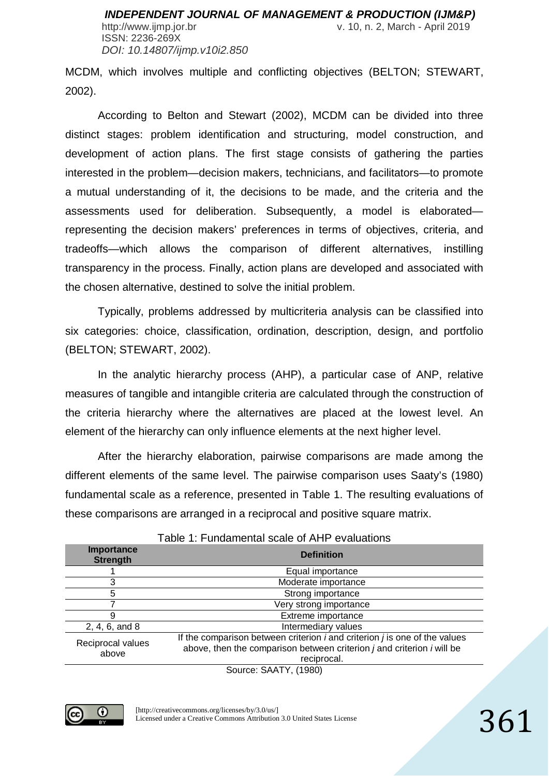ISSN: 2236-269X *DOI: 10.14807/ijmp.v10i2.850*

MCDM, which involves multiple and conflicting objectives (BELTON; STEWART, 2002).

According to Belton and Stewart (2002), MCDM can be divided into three distinct stages: problem identification and structuring, model construction, and development of action plans. The first stage consists of gathering the parties interested in the problem—decision makers, technicians, and facilitators—to promote a mutual understanding of it, the decisions to be made, and the criteria and the assessments used for deliberation. Subsequently, a model is elaborated representing the decision makers' preferences in terms of objectives, criteria, and tradeoffs—which allows the comparison of different alternatives, instilling transparency in the process. Finally, action plans are developed and associated with the chosen alternative, destined to solve the initial problem.

Typically, problems addressed by multicriteria analysis can be classified into six categories: choice, classification, ordination, description, design, and portfolio (BELTON; STEWART, 2002).

In the analytic hierarchy process (AHP), a particular case of ANP, relative measures of tangible and intangible criteria are calculated through the construction of the criteria hierarchy where the alternatives are placed at the lowest level. An element of the hierarchy can only influence elements at the next higher level.

After the hierarchy elaboration, pairwise comparisons are made among the different elements of the same level. The pairwise comparison uses Saaty's (1980) fundamental scale as a reference, presented in Table 1. The resulting evaluations of these comparisons are arranged in a reciprocal and positive square matrix.

| <b>Importance</b><br><b>Strength</b> | <b>Definition</b>                                                                                                                                                       |  |  |  |  |  |  |  |  |  |
|--------------------------------------|-------------------------------------------------------------------------------------------------------------------------------------------------------------------------|--|--|--|--|--|--|--|--|--|
|                                      | Equal importance                                                                                                                                                        |  |  |  |  |  |  |  |  |  |
| 3                                    | Moderate importance                                                                                                                                                     |  |  |  |  |  |  |  |  |  |
| 5                                    | Strong importance                                                                                                                                                       |  |  |  |  |  |  |  |  |  |
|                                      | Very strong importance                                                                                                                                                  |  |  |  |  |  |  |  |  |  |
| 9                                    | Extreme importance                                                                                                                                                      |  |  |  |  |  |  |  |  |  |
| 2, 4, 6, and 8                       | Intermediary values                                                                                                                                                     |  |  |  |  |  |  |  |  |  |
| Reciprocal values<br>above           | If the comparison between criterion $i$ and criterion $j$ is one of the values<br>above, then the comparison between criterion j and criterion i will be<br>reciprocal. |  |  |  |  |  |  |  |  |  |
|                                      | Source: SAATY, (1980)                                                                                                                                                   |  |  |  |  |  |  |  |  |  |

#### Table 1: Fundamental scale of AHP evaluations

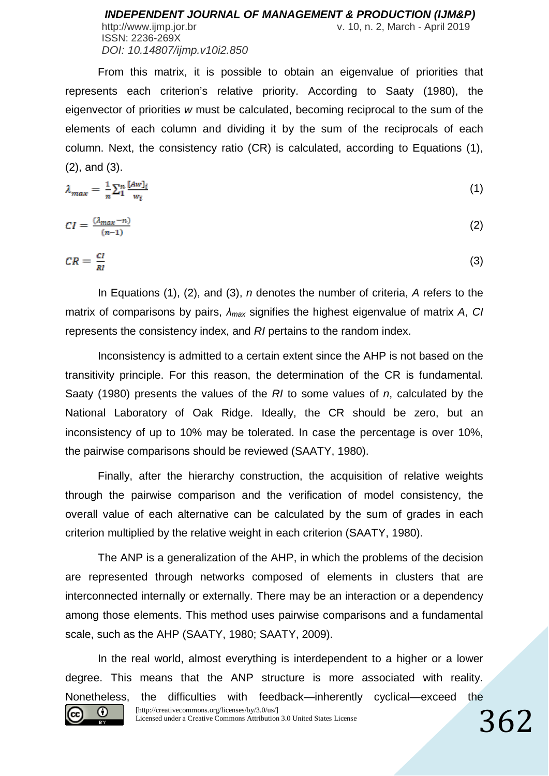http://www.ijmp.jor.br v. 10, n. 2, March - April 2019 ISSN: 2236-269X *DOI: 10.14807/ijmp.v10i2.850*

From this matrix, it is possible to obtain an eigenvalue of priorities that represents each criterion's relative priority. According to Saaty (1980), the eigenvector of priorities *w* must be calculated, becoming reciprocal to the sum of the elements of each column and dividing it by the sum of the reciprocals of each column. Next, the consistency ratio (CR) is calculated, according to Equations (1), (2), and (3).

$$
\lambda_{max} = \frac{1}{n} \sum_{i=1}^{n} \frac{[Aw]_i}{w_i} \tag{1}
$$

$$
CI = \frac{(\lambda_{max} - n)}{(n-1)}\tag{2}
$$

$$
CR = \frac{cr}{RI} \tag{3}
$$

In Equations (1), (2), and (3), *n* denotes the number of criteria, *A* refers to the matrix of comparisons by pairs, *λmax* signifies the highest eigenvalue of matrix *A*, *CI* represents the consistency index, and *RI* pertains to the random index.

Inconsistency is admitted to a certain extent since the AHP is not based on the transitivity principle. For this reason, the determination of the CR is fundamental. Saaty (1980) presents the values of the *RI* to some values of *n*, calculated by the National Laboratory of Oak Ridge. Ideally, the CR should be zero, but an inconsistency of up to 10% may be tolerated. In case the percentage is over 10%, the pairwise comparisons should be reviewed (SAATY, 1980).

Finally, after the hierarchy construction, the acquisition of relative weights through the pairwise comparison and the verification of model consistency, the overall value of each alternative can be calculated by the sum of grades in each criterion multiplied by the relative weight in each criterion (SAATY, 1980).

The ANP is a generalization of the AHP, in which the problems of the decision are represented through networks composed of elements in clusters that are interconnected internally or externally. There may be an interaction or a dependency among those elements. This method uses pairwise comparisons and a fundamental scale, such as the AHP (SAATY, 1980; SAATY, 2009).

In the real world, almost everything is interdependent to a higher or a lower degree. This means that the ANP structure is more associated with reality. Nonetheless, the difficulties with feedback—inherently cyclical—exceed the [http://creativecommons.org/licenses/by/3.0/us/] ⊙ (cc) Licensed under a Creative Commons Attribution 3.0 United States License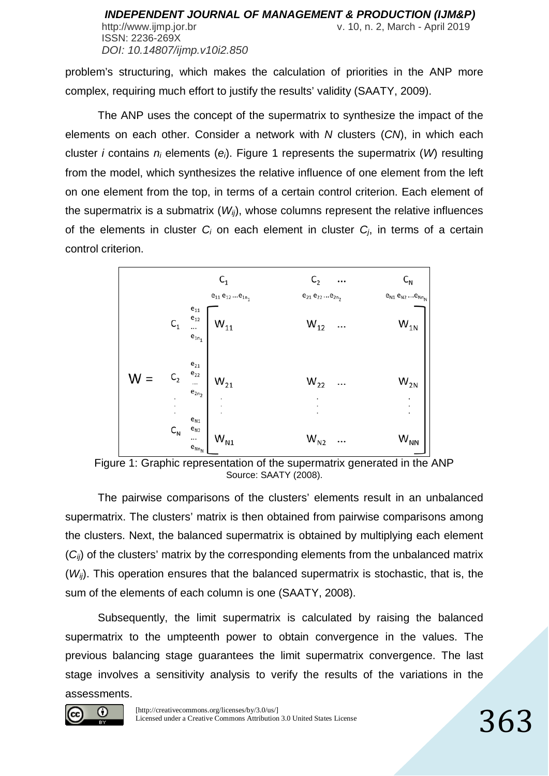problem's structuring, which makes the calculation of priorities in the ANP more complex, requiring much effort to justify the results' validity (SAATY, 2009).

The ANP uses the concept of the supermatrix to synthesize the impact of the elements on each other. Consider a network with *N* clusters (*CN*), in which each cluster *i* contains *ni* elements (*ei*). Figure 1 represents the supermatrix (*W*) resulting from the model, which synthesizes the relative influence of one element from the left on one element from the top, in terms of a certain control criterion. Each element of the supermatrix is a submatrix  $(W_{ii})$ , whose columns represent the relative influences of the elements in cluster *Ci* on each element in cluster *Cj*, in terms of a certain control criterion.



Figure 1: Graphic representation of the supermatrix generated in the ANP Source: SAATY (2008).

The pairwise comparisons of the clusters' elements result in an unbalanced supermatrix. The clusters' matrix is then obtained from pairwise comparisons among the clusters. Next, the balanced supermatrix is obtained by multiplying each element ( $C_{ii}$ ) of the clusters' matrix by the corresponding elements from the unbalanced matrix (*Wij*). This operation ensures that the balanced supermatrix is stochastic, that is, the sum of the elements of each column is one (SAATY, 2008).

Subsequently, the limit supermatrix is calculated by raising the balanced supermatrix to the umpteenth power to obtain convergence in the values. The previous balancing stage guarantees the limit supermatrix convergence. The last stage involves a sensitivity analysis to verify the results of the variations in the assessments.

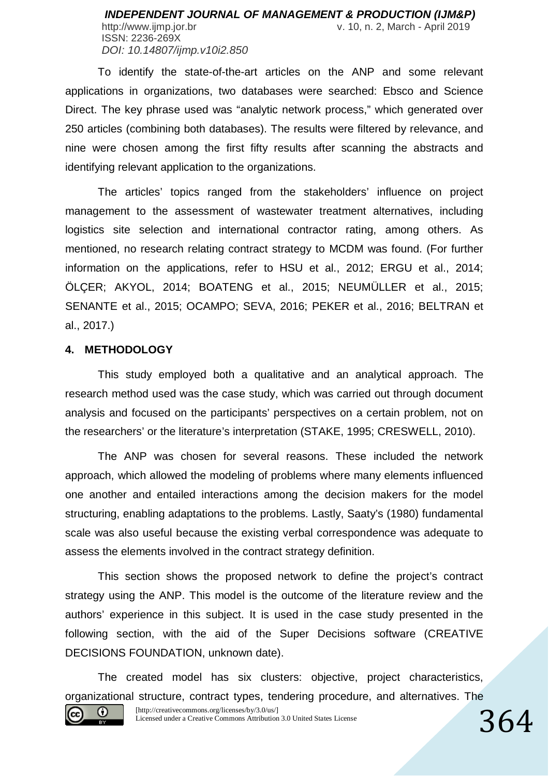To identify the state-of-the-art articles on the ANP and some relevant applications in organizations, two databases were searched: Ebsco and Science Direct. The key phrase used was "analytic network process," which generated over 250 articles (combining both databases). The results were filtered by relevance, and nine were chosen among the first fifty results after scanning the abstracts and identifying relevant application to the organizations.

The articles' topics ranged from the stakeholders' influence on project management to the assessment of wastewater treatment alternatives, including logistics site selection and international contractor rating, among others. As mentioned, no research relating contract strategy to MCDM was found. (For further information on the applications, refer to HSU et al., 2012; ERGU et al., 2014; ÖLÇER; AKYOL, 2014; BOATENG et al., 2015; NEUMÜLLER et al., 2015; SENANTE et al., 2015; OCAMPO; SEVA, 2016; PEKER et al., 2016; BELTRAN et al., 2017.)

### **4. METHODOLOGY**

This study employed both a qualitative and an analytical approach. The research method used was the case study, which was carried out through document analysis and focused on the participants' perspectives on a certain problem, not on the researchers' or the literature's interpretation (STAKE, 1995; CRESWELL, 2010).

The ANP was chosen for several reasons. These included the network approach, which allowed the modeling of problems where many elements influenced one another and entailed interactions among the decision makers for the model structuring, enabling adaptations to the problems. Lastly, Saaty's (1980) fundamental scale was also useful because the existing verbal correspondence was adequate to assess the elements involved in the contract strategy definition.

This section shows the proposed network to define the project's contract strategy using the ANP. This model is the outcome of the literature review and the authors' experience in this subject. It is used in the case study presented in the following section, with the aid of the Super Decisions software (CREATIVE DECISIONS FOUNDATION, unknown date).

The created model has six clusters: objective, project characteristics, organizational structure, contract types, tendering procedure, and alternatives. The

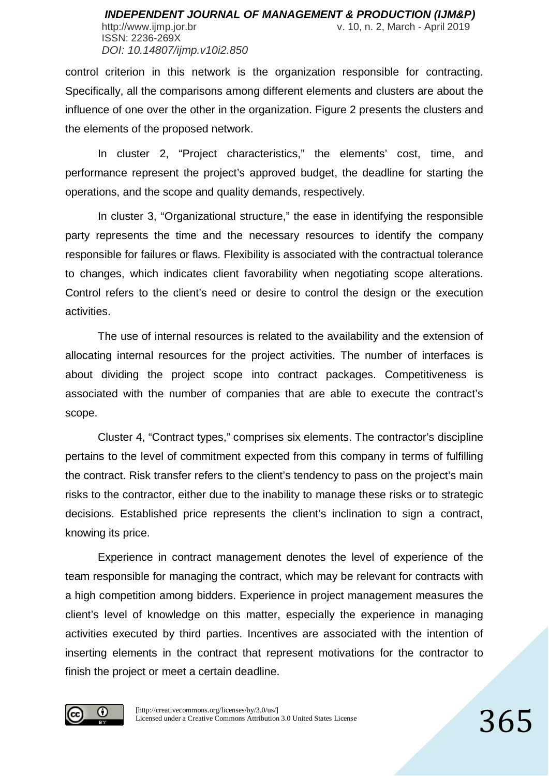http://www.ijmp.jor.br v. 10, n. 2, March - April 2019 ISSN: 2236-269X *DOI: 10.14807/ijmp.v10i2.850*

control criterion in this network is the organization responsible for contracting. Specifically, all the comparisons among different elements and clusters are about the influence of one over the other in the organization. Figure 2 presents the clusters and the elements of the proposed network.

In cluster 2, "Project characteristics," the elements' cost, time, and performance represent the project's approved budget, the deadline for starting the operations, and the scope and quality demands, respectively.

In cluster 3, "Organizational structure," the ease in identifying the responsible party represents the time and the necessary resources to identify the company responsible for failures or flaws. Flexibility is associated with the contractual tolerance to changes, which indicates client favorability when negotiating scope alterations. Control refers to the client's need or desire to control the design or the execution activities.

The use of internal resources is related to the availability and the extension of allocating internal resources for the project activities. The number of interfaces is about dividing the project scope into contract packages. Competitiveness is associated with the number of companies that are able to execute the contract's scope.

Cluster 4, "Contract types," comprises six elements. The contractor's discipline pertains to the level of commitment expected from this company in terms of fulfilling the contract. Risk transfer refers to the client's tendency to pass on the project's main risks to the contractor, either due to the inability to manage these risks or to strategic decisions. Established price represents the client's inclination to sign a contract, knowing its price.

Experience in contract management denotes the level of experience of the team responsible for managing the contract, which may be relevant for contracts with a high competition among bidders. Experience in project management measures the client's level of knowledge on this matter, especially the experience in managing activities executed by third parties. Incentives are associated with the intention of inserting elements in the contract that represent motivations for the contractor to finish the project or meet a certain deadline.

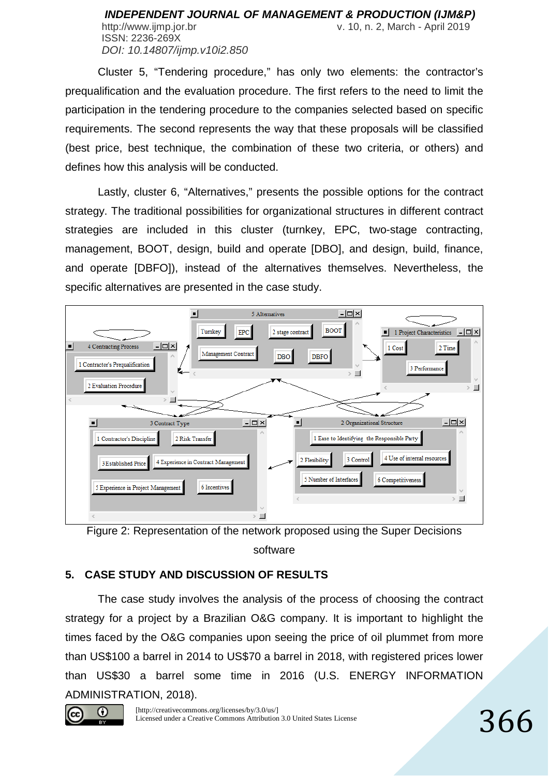#### *INDEPENDENT JOURNAL OF MANAGEMENT & PRODUCTION (IJM&P)* http://www.ijmp.jor.br v. 10, n. 2, March - April 2019 ISSN: 2236-269X *DOI: 10.14807/ijmp.v10i2.850*

Cluster 5, "Tendering procedure," has only two elements: the contractor's prequalification and the evaluation procedure. The first refers to the need to limit the participation in the tendering procedure to the companies selected based on specific requirements. The second represents the way that these proposals will be classified (best price, best technique, the combination of these two criteria, or others) and defines how this analysis will be conducted.

Lastly, cluster 6, "Alternatives," presents the possible options for the contract strategy. The traditional possibilities for organizational structures in different contract strategies are included in this cluster (turnkey, EPC, two-stage contracting, management, BOOT, design, build and operate [DBO], and design, build, finance, and operate [DBFO]), instead of the alternatives themselves. Nevertheless, the specific alternatives are presented in the case study.





### **5. CASE STUDY AND DISCUSSION OF RESULTS**

The case study involves the analysis of the process of choosing the contract strategy for a project by a Brazilian O&G company. It is important to highlight the times faced by the O&G companies upon seeing the price of oil plummet from more than US\$100 a barrel in 2014 to US\$70 a barrel in 2018, with registered prices lower than US\$30 a barrel some time in 2016 (U.S. ENERGY INFORMATION ADMINISTRATION, 2018).

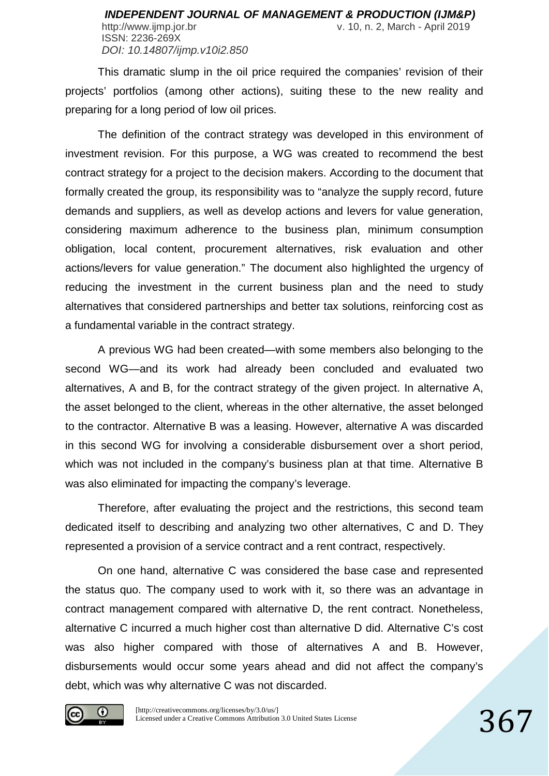ISSN: 2236-269X *DOI: 10.14807/ijmp.v10i2.850*

This dramatic slump in the oil price required the companies' revision of their projects' portfolios (among other actions), suiting these to the new reality and preparing for a long period of low oil prices.

The definition of the contract strategy was developed in this environment of investment revision. For this purpose, a WG was created to recommend the best contract strategy for a project to the decision makers. According to the document that formally created the group, its responsibility was to "analyze the supply record, future demands and suppliers, as well as develop actions and levers for value generation, considering maximum adherence to the business plan, minimum consumption obligation, local content, procurement alternatives, risk evaluation and other actions/levers for value generation." The document also highlighted the urgency of reducing the investment in the current business plan and the need to study alternatives that considered partnerships and better tax solutions, reinforcing cost as a fundamental variable in the contract strategy.

A previous WG had been created—with some members also belonging to the second WG—and its work had already been concluded and evaluated two alternatives, A and B, for the contract strategy of the given project. In alternative A, the asset belonged to the client, whereas in the other alternative, the asset belonged to the contractor. Alternative B was a leasing. However, alternative A was discarded in this second WG for involving a considerable disbursement over a short period, which was not included in the company's business plan at that time. Alternative B was also eliminated for impacting the company's leverage.

Therefore, after evaluating the project and the restrictions, this second team dedicated itself to describing and analyzing two other alternatives, C and D. They represented a provision of a service contract and a rent contract, respectively.

On one hand, alternative C was considered the base case and represented the status quo. The company used to work with it, so there was an advantage in contract management compared with alternative D, the rent contract. Nonetheless, alternative C incurred a much higher cost than alternative D did. Alternative C's cost was also higher compared with those of alternatives A and B. However, disbursements would occur some years ahead and did not affect the company's debt, which was why alternative C was not discarded.

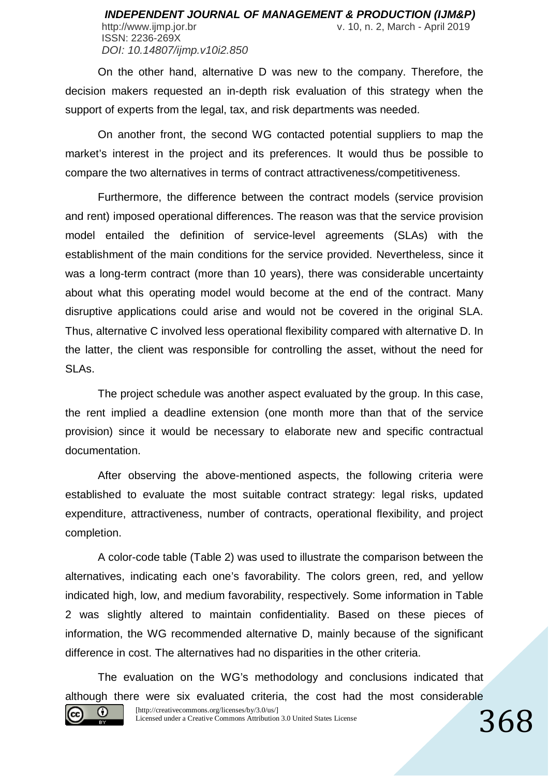On the other hand, alternative D was new to the company. Therefore, the decision makers requested an in-depth risk evaluation of this strategy when the support of experts from the legal, tax, and risk departments was needed.

On another front, the second WG contacted potential suppliers to map the market's interest in the project and its preferences. It would thus be possible to compare the two alternatives in terms of contract attractiveness/competitiveness.

Furthermore, the difference between the contract models (service provision and rent) imposed operational differences. The reason was that the service provision model entailed the definition of service-level agreements (SLAs) with the establishment of the main conditions for the service provided. Nevertheless, since it was a long-term contract (more than 10 years), there was considerable uncertainty about what this operating model would become at the end of the contract. Many disruptive applications could arise and would not be covered in the original SLA. Thus, alternative C involved less operational flexibility compared with alternative D. In the latter, the client was responsible for controlling the asset, without the need for SLAs.

The project schedule was another aspect evaluated by the group. In this case, the rent implied a deadline extension (one month more than that of the service provision) since it would be necessary to elaborate new and specific contractual documentation.

After observing the above-mentioned aspects, the following criteria were established to evaluate the most suitable contract strategy: legal risks, updated expenditure, attractiveness, number of contracts, operational flexibility, and project completion.

A color-code table (Table 2) was used to illustrate the comparison between the alternatives, indicating each one's favorability. The colors green, red, and yellow indicated high, low, and medium favorability, respectively. Some information in Table 2 was slightly altered to maintain confidentiality. Based on these pieces of information, the WG recommended alternative D, mainly because of the significant difference in cost. The alternatives had no disparities in the other criteria.

The evaluation on the WG's methodology and conclusions indicated that although there were six evaluated criteria, the cost had the most considerable

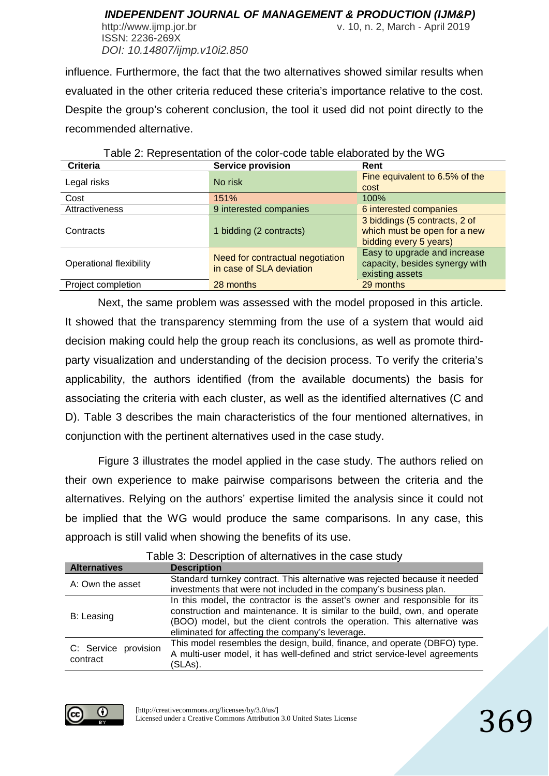ISSN: 2236-269X *DOI: 10.14807/ijmp.v10i2.850*

http://www.ijmp.jor.br v. 10, n. 2, March - April 2019

influence. Furthermore, the fact that the two alternatives showed similar results when evaluated in the other criteria reduced these criteria's importance relative to the cost. Despite the group's coherent conclusion, the tool it used did not point directly to the recommended alternative.

| able 2. Representation of the color-code table elaborated by the VVG |                                                              |                                                                                         |  |  |  |  |  |  |  |  |  |  |
|----------------------------------------------------------------------|--------------------------------------------------------------|-----------------------------------------------------------------------------------------|--|--|--|--|--|--|--|--|--|--|
| <b>Criteria</b>                                                      | <b>Service provision</b>                                     | Rent                                                                                    |  |  |  |  |  |  |  |  |  |  |
| Legal risks                                                          | No risk                                                      | Fine equivalent to 6.5% of the<br>cost                                                  |  |  |  |  |  |  |  |  |  |  |
| Cost                                                                 | 151%                                                         | 100%                                                                                    |  |  |  |  |  |  |  |  |  |  |
| Attractiveness                                                       | 9 interested companies                                       | 6 interested companies                                                                  |  |  |  |  |  |  |  |  |  |  |
| Contracts                                                            | 1 bidding (2 contracts)                                      | 3 biddings (5 contracts, 2 of<br>which must be open for a new<br>bidding every 5 years) |  |  |  |  |  |  |  |  |  |  |
| <b>Operational flexibility</b>                                       | Need for contractual negotiation<br>in case of SLA deviation | Easy to upgrade and increase<br>capacity, besides synergy with<br>existing assets       |  |  |  |  |  |  |  |  |  |  |
| Project completion                                                   | 28 months                                                    | 29 months                                                                               |  |  |  |  |  |  |  |  |  |  |

#### Table 2: Representation of the color-code table elaborated by the WG

Next, the same problem was assessed with the model proposed in this article. It showed that the transparency stemming from the use of a system that would aid decision making could help the group reach its conclusions, as well as promote thirdparty visualization and understanding of the decision process. To verify the criteria's applicability, the authors identified (from the available documents) the basis for associating the criteria with each cluster, as well as the identified alternatives (C and D). Table 3 describes the main characteristics of the four mentioned alternatives, in conjunction with the pertinent alternatives used in the case study.

Figure 3 illustrates the model applied in the case study. The authors relied on their own experience to make pairwise comparisons between the criteria and the alternatives. Relying on the authors' expertise limited the analysis since it could not be implied that the WG would produce the same comparisons. In any case, this approach is still valid when showing the benefits of its use.

| <b>Alternatives</b>              | <b>Description</b>                                                                                                                                                                                                                                                                       |
|----------------------------------|------------------------------------------------------------------------------------------------------------------------------------------------------------------------------------------------------------------------------------------------------------------------------------------|
| A: Own the asset                 | Standard turnkey contract. This alternative was rejected because it needed<br>investments that were not included in the company's business plan.                                                                                                                                         |
| B: Leasing                       | In this model, the contractor is the asset's owner and responsible for its<br>construction and maintenance. It is similar to the build, own, and operate<br>(BOO) model, but the client controls the operation. This alternative was<br>eliminated for affecting the company's leverage. |
| C: Service provision<br>contract | This model resembles the design, build, finance, and operate (DBFO) type.<br>A multi-user model, it has well-defined and strict service-level agreements<br>(SLAs).                                                                                                                      |

### Table 3: Description of alternatives in the case study

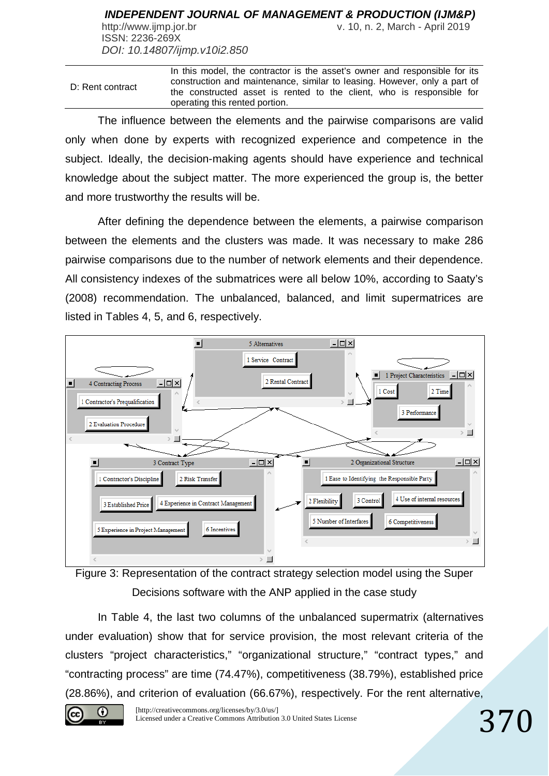ISSN: 2236-269X *DOI: 10.14807/ijmp.v10i2.850*

http://www.ijmp.jor.br v. 10, n. 2, March - April 2019

D: Rent contract In this model, the contractor is the asset's owner and responsible for its construction and maintenance, similar to leasing. However, only a part of the constructed asset is rented to the client, who is responsible for operating this rented portion.

The influence between the elements and the pairwise comparisons are valid only when done by experts with recognized experience and competence in the subject. Ideally, the decision-making agents should have experience and technical knowledge about the subject matter. The more experienced the group is, the better and more trustworthy the results will be.

After defining the dependence between the elements, a pairwise comparison between the elements and the clusters was made. It was necessary to make 286 pairwise comparisons due to the number of network elements and their dependence. All consistency indexes of the submatrices were all below 10%, according to Saaty's (2008) recommendation. The unbalanced, balanced, and limit supermatrices are listed in Tables 4, 5, and 6, respectively.





In Table 4, the last two columns of the unbalanced supermatrix (alternatives under evaluation) show that for service provision, the most relevant criteria of the clusters "project characteristics," "organizational structure," "contract types," and "contracting process" are time (74.47%), competitiveness (38.79%), established price (28.86%), and criterion of evaluation (66.67%), respectively. For the rent alternative,

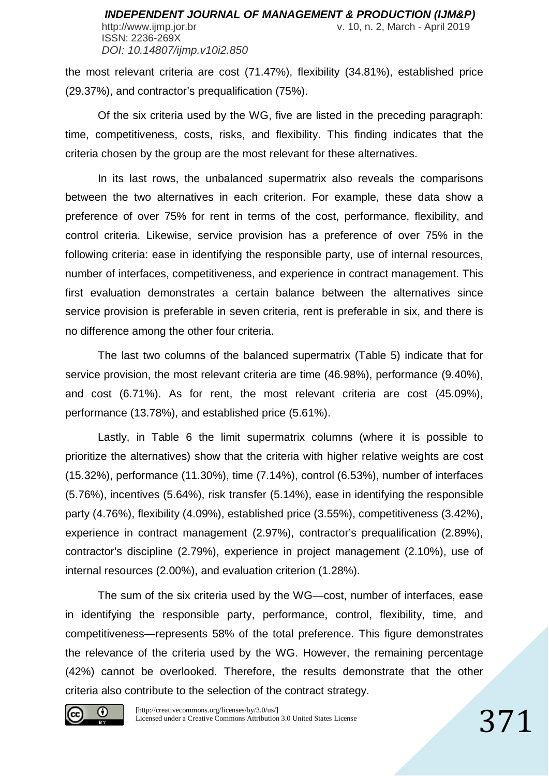the most relevant criteria are cost (71.47%), flexibility (34.81%), established price (29.37%), and contractor's prequalification (75%).

Of the six criteria used by the WG, five are listed in the preceding paragraph: time, competitiveness, costs, risks, and flexibility. This finding indicates that the criteria chosen by the group are the most relevant for these alternatives.

In its last rows, the unbalanced supermatrix also reveals the comparisons between the two alternatives in each criterion. For example, these data show a preference of over 75% for rent in terms of the cost, performance, flexibility, and control criteria. Likewise, service provision has a preference of over 75% in the following criteria: ease in identifying the responsible party, use of internal resources, number of interfaces, competitiveness, and experience in contract management. This first evaluation demonstrates a certain balance between the alternatives since service provision is preferable in seven criteria, rent is preferable in six, and there is no difference among the other four criteria.

The last two columns of the balanced supermatrix (Table 5) indicate that for service provision, the most relevant criteria are time (46.98%), performance (9.40%), and cost (6.71%). As for rent, the most relevant criteria are cost (45.09%), performance (13.78%), and established price (5.61%).

Lastly, in Table 6 the limit supermatrix columns (where it is possible to prioritize the alternatives) show that the criteria with higher relative weights are cost (15.32%), performance (11.30%), time (7.14%), control (6.53%), number of interfaces (5.76%), incentives (5.64%), risk transfer (5.14%), ease in identifying the responsible party (4.76%), flexibility (4.09%), established price (3.55%), competitiveness (3.42%), experience in contract management (2.97%), contractor's prequalification (2.89%), contractor's discipline (2.79%), experience in project management (2.10%), use of internal resources (2.00%), and evaluation criterion (1.28%).

The sum of the six criteria used by the WG—cost, number of interfaces, ease in identifying the responsible party, performance, control, flexibility, time, and competitiveness—represents 58% of the total preference. This figure demonstrates the relevance of the criteria used by the WG. However, the remaining percentage (42%) cannot be overlooked. Therefore, the results demonstrate that the other criteria also contribute to the selection of the contract strategy.

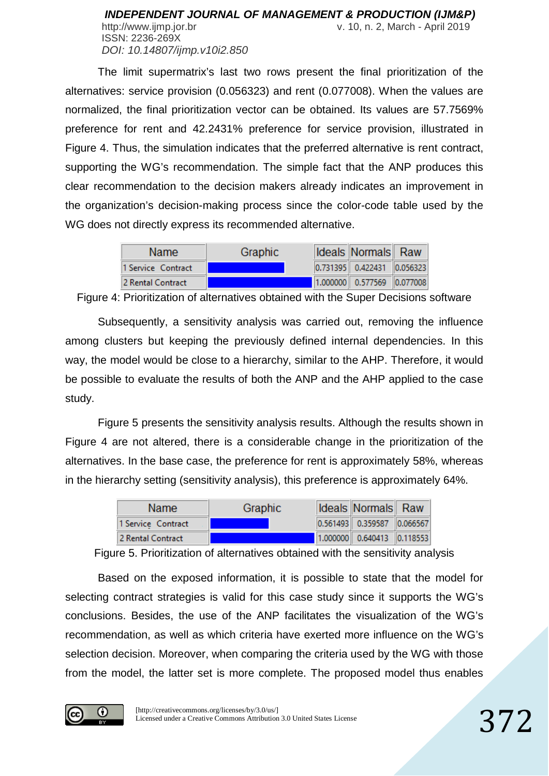The limit supermatrix's last two rows present the final prioritization of the alternatives: service provision (0.056323) and rent (0.077008). When the values are normalized, the final prioritization vector can be obtained. Its values are 57.7569% preference for rent and 42.2431% preference for service provision, illustrated in Figure 4. Thus, the simulation indicates that the preferred alternative is rent contract, supporting the WG's recommendation. The simple fact that the ANP produces this clear recommendation to the decision makers already indicates an improvement in the organization's decision-making process since the color-code table used by the WG does not directly express its recommended alternative.

| <b>Name</b>        | Graphic | <b>Ideals Normals Raw</b>      |  |
|--------------------|---------|--------------------------------|--|
| 1 Service Contract |         | $ 0.731395 $ 0.422431 0.056323 |  |
| 2 Rental Contract  |         | 1.000000 0.577569 0.077008     |  |

Figure 4: Prioritization of alternatives obtained with the Super Decisions software

Subsequently, a sensitivity analysis was carried out, removing the influence among clusters but keeping the previously defined internal dependencies. In this way, the model would be close to a hierarchy, similar to the AHP. Therefore, it would be possible to evaluate the results of both the ANP and the AHP applied to the case study.

Figure 5 presents the sensitivity analysis results. Although the results shown in Figure 4 are not altered, there is a considerable change in the prioritization of the alternatives. In the base case, the preference for rent is approximately 58%, whereas in the hierarchy setting (sensitivity analysis), this preference is approximately 64%.

| Name.              | <b>Graphic</b> | <b>Ideals Normals</b> Raw  |  |
|--------------------|----------------|----------------------------|--|
| 1 Service Contract |                | 0.561493 0.359587 0.066567 |  |
| 2 Rental Contract  |                | 1.000000 0.640413 0.118553 |  |

Figure 5. Prioritization of alternatives obtained with the sensitivity analysis

Based on the exposed information, it is possible to state that the model for selecting contract strategies is valid for this case study since it supports the WG's conclusions. Besides, the use of the ANP facilitates the visualization of the WG's recommendation, as well as which criteria have exerted more influence on the WG's selection decision. Moreover, when comparing the criteria used by the WG with those from the model, the latter set is more complete. The proposed model thus enables

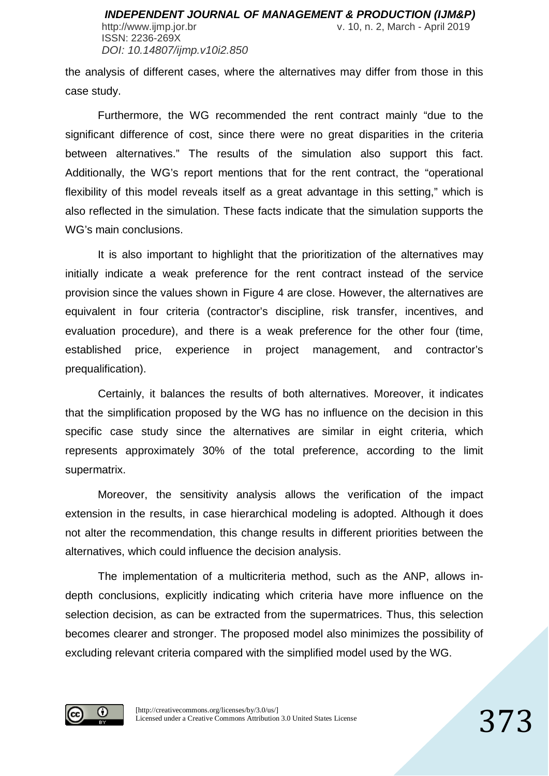ISSN: 2236-269X *DOI: 10.14807/ijmp.v10i2.850*

http://www.ijmp.jor.br v. 10, n. 2, March - April 2019

the analysis of different cases, where the alternatives may differ from those in this case study.

Furthermore, the WG recommended the rent contract mainly "due to the significant difference of cost, since there were no great disparities in the criteria between alternatives." The results of the simulation also support this fact. Additionally, the WG's report mentions that for the rent contract, the "operational flexibility of this model reveals itself as a great advantage in this setting," which is also reflected in the simulation. These facts indicate that the simulation supports the WG's main conclusions.

It is also important to highlight that the prioritization of the alternatives may initially indicate a weak preference for the rent contract instead of the service provision since the values shown in Figure 4 are close. However, the alternatives are equivalent in four criteria (contractor's discipline, risk transfer, incentives, and evaluation procedure), and there is a weak preference for the other four (time, established price, experience in project management, and contractor's prequalification).

Certainly, it balances the results of both alternatives. Moreover, it indicates that the simplification proposed by the WG has no influence on the decision in this specific case study since the alternatives are similar in eight criteria, which represents approximately 30% of the total preference, according to the limit supermatrix.

Moreover, the sensitivity analysis allows the verification of the impact extension in the results, in case hierarchical modeling is adopted. Although it does not alter the recommendation, this change results in different priorities between the alternatives, which could influence the decision analysis.

The implementation of a multicriteria method, such as the ANP, allows indepth conclusions, explicitly indicating which criteria have more influence on the selection decision, as can be extracted from the supermatrices. Thus, this selection becomes clearer and stronger. The proposed model also minimizes the possibility of excluding relevant criteria compared with the simplified model used by the WG.

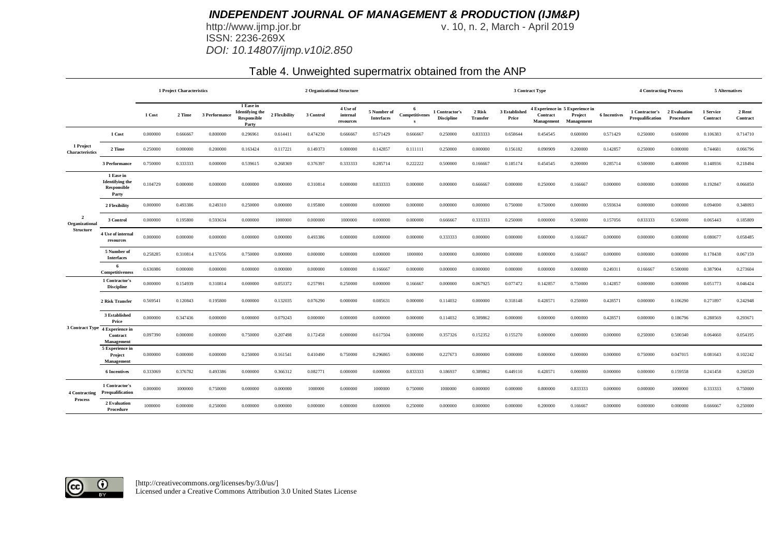http://www.ijmp.jor.br<br>ISSN: 2236-269X *DOI: 10.14807/ijmp.v10i2.850* v. 10, n. 2, March - April 2019

### Table 4. Unweighted supermatrix obtained from the ANP

|                                  |                                                             | 1 Project Characteristics |          |               |                                                             |               | 2 Organizational Structure |                                   |                                  |                                |                                     |                           |                        | 3 Contract Type        |                                                          |                     |                                    |                           | <b>5 Alternatives</b> |                    |
|----------------------------------|-------------------------------------------------------------|---------------------------|----------|---------------|-------------------------------------------------------------|---------------|----------------------------|-----------------------------------|----------------------------------|--------------------------------|-------------------------------------|---------------------------|------------------------|------------------------|----------------------------------------------------------|---------------------|------------------------------------|---------------------------|-----------------------|--------------------|
|                                  |                                                             | 1 Cost                    | 2 Time   | 3 Performance | 1 Ease in<br><b>Identifying the</b><br>Responsible<br>Party | 2 Flexibility | 3 Control                  | 4 Use of<br>internal<br>resources | 5 Number of<br><b>Interfaces</b> | Competitivenes<br>$\mathbf{c}$ | 1 Contractor's<br><b>Discipline</b> | 2 Risk<br><b>Transfer</b> | 3 Established<br>Price | Contract<br>Management | 4 Experience in 5 Experience in<br>Project<br>Management | <b>6 Incentives</b> | 1 Contractor's<br>Prequalification | 2 Evaluation<br>Procedure | 1 Service<br>Contract | 2 Rent<br>Contract |
|                                  | 1 Cost                                                      | 0.000000                  | 0.666667 | 0.800000      | 0.296961                                                    | 0.614411      | 0.474230                   | 0.666667                          | 0.571429                         | 0.666667                       | 0.250000                            | 0.833333                  | 0.658644               | 0.454545               | 0.600000                                                 | 0.571429            | 0.250000                           | 0.600000                  | 0.106383              | 0.714710           |
| 1 Project<br>Characteristics     | 2 Time                                                      | 0.250000                  | 0.000000 | 0.200000      | 0.163424                                                    | 0.117221      | 0.149373                   | 0.000000                          | 0.142857                         | 0.111111                       | 0.250000                            | 0.000000                  | 0.156182               | 0.090909               | 0.200000                                                 | 0.142857            | 0.250000                           | 0.000000                  | 0.744681              | 0.066796           |
|                                  | 3 Performance                                               | 0.750000                  | 0.333333 | 0.000000      | 0.539615                                                    | 0.268369      | 0.376397                   | 0.333333                          | 0.285714                         | 0.222222                       | 0.500000                            | 0.166667                  | 0.185174               | 0.454545               | 0.200000                                                 | 0.285714            | 0.500000                           | 0.400000                  | 0.148936              | 0.218494           |
|                                  | 1 Ease in<br><b>Identifying the</b><br>Responsible<br>Party | 0.104729                  | 0.000000 | 0.000000      | 0.000000                                                    | 0.000000      | 0.310814                   | 0.000000                          | 0.833333                         | 0.000000                       | 0.000000                            | 0.666667                  | 0.000000               | 0.250000               | 0.166667                                                 | 0.000000            | 0.000000                           | 0.000000                  | 0.192847              | 0.066850           |
|                                  | 2 Flexibility                                               | 0.000000                  | 0.493386 | 0.249310      | 0.250000                                                    | 0.000000      | 0.195800                   | 0.000000                          | 0.000000                         | 0.000000                       | 0.000000                            | 0.000000                  | 0.750000               | 0.750000               | 0.000000                                                 | 0.593634            | 0.000000                           | 0.000000                  | 0.094690              | 0.348093           |
| 2<br>Organizational<br>Structure | 3 Control                                                   | 0.000000                  | 0.195800 | 0.593634      | 0.000000                                                    | 1000000       | 0.000000                   | 1000000                           | 0.000000                         | 0.000000                       | 0.666667                            | 0.333333                  | 0.250000               | 0.000000               | 0.500000                                                 | 0.157056            | 0.833333                           | 0.500000                  | 0.065443              | 0.185809           |
|                                  | 4 Use of internal<br>resources                              | 0.000000                  | 0.000000 | 0.000000      | 0.000000                                                    | 0.000000      | 0.493386                   | 0.000000                          | 0.000000                         | 0.000000                       | 0.333333                            | 0.000000                  | 0.000000               | 0.000000               | 0.166667                                                 | 0.000000            | 0.000000                           | 0.000000                  | 0.080677              | 0.058485           |
|                                  | 5 Number of<br><b>Interfaces</b>                            | 0.258285                  | 0.310814 | 0.157056      | 0.750000                                                    | 0.000000      | 0.000000                   | 0.000000                          | 0.000000                         | 1000000                        | 0.000000                            | 0.000000                  | 0.000000               | 0.000000               | 0.166667                                                 | 0.000000            | 0.000000                           | 0.000000                  | 0.178438              | 0.067159           |
|                                  | -6<br>Competitiveness                                       | 0.636986                  | 0.000000 | 0.000000      | 0.000000                                                    | 0.000000      | 0.000000                   | 0.000000                          | 0.166667                         | 0.000000                       | 0.000000                            | 0.000000                  | 0.000000               | 0.000000               | 0.000000                                                 | 0.249311            | 0.166667                           | 0.500000                  | 0.387904              | 0.273604           |
|                                  | 1 Contractor's<br><b>Discipline</b>                         | 0.000000                  | 0.154939 | 0.310814      | 0.000000                                                    | 0.053372      | 0.257991                   | 0.250000                          | 0.000000                         | 0.166667                       | 0.000000                            | 0.067925                  | 0.077472               | 0.142857               | 0.750000                                                 | 0.142857            | 0.000000                           | 0.000000                  | 0.051773              | 0.046424           |
|                                  | 2 Risk Transfer                                             | 0.569541                  | 0.120843 | 0.195800      | 0.000000                                                    | 0.132035      | 0.076290                   | 0.000000                          | 0.085631                         | 0.000000                       | 0.114032                            | 0.000000                  | 0.318148               | 0.428571               | 0.250000                                                 | 0.428571            | 0.000000                           | 0.106290                  | 0.271897              | 0.242948           |
|                                  | 3 Established<br>Price                                      | 0.000000                  | 0.347436 | 0.000000      | 0.000000                                                    | 0.079243      | 0.000000                   | 0.000000                          | 0.000000                         | 0.000000                       | 0.114032                            | 0.389862                  | 0.000000               | 0.000000               | 0.000000                                                 | 0.428571            | 0.000000                           | 0.186796                  | 0.288569              | 0.293671           |
|                                  | 3 Contract Type 4 Experience in<br>Contract<br>Management   | 0.097390                  | 0.000000 | 0.000000      | 0.750000                                                    | 0.207498      | 0.172458                   | 0.000000                          | 0.617504                         | 0.000000                       | 0.357326                            | 0.152352                  | 0.155270               | 0.000000               | 0.000000                                                 | 0.000000            | 0.250000                           | 0.500340                  | 0.064660              | 0.054195           |
|                                  | 5 Experience in<br>Project<br>Management                    | 0.000000                  | 0.000000 | 0.000000      | 0.250000                                                    | 0.161541      | 0.410490                   | 0.750000                          | 0.296865                         | 0.000000                       | 0.227673                            | 0.000000                  | 0.000000               | 0.000000               | 0.000000                                                 | 0.000000            | 0.750000                           | 0.047015                  | 0.081643              | 0.102242           |
|                                  | <b>6 Incentives</b>                                         | 0.333069                  | 0.376782 | 0.493386      | 0.000000                                                    | 0.366312      | 0.082771                   | 0.000000                          | 0.000000                         | 0.833333                       | 0.186937                            | 0.389862                  | 0.449110               | 0.428571               | 0.000000                                                 | 0.000000            | 0.000000                           | 0.159558                  | 0.241458              | 0.260520           |
| 4 Contracting                    | 1 Contractor's<br>Prequalification                          | 0.000000                  | 1000000  | 0.750000      | 0.000000                                                    | 0.000000      | 1000000                    | 0.000000                          | 1000000                          | 0.750000                       | 1000000                             | 0.000000                  | 0.000000               | 0.800000               | 0.833333                                                 | 0.000000            | 0.000000                           | 1000000                   | 0.333333              | 0.750000           |
| <b>Process</b>                   | 2 Evaluation<br>Procedure                                   | 1000000                   | 0.000000 | 0.250000      | 0.000000                                                    | 0.000000      | 0.000000                   | 0.000000                          | 0.000000                         | 0.250000                       | 0.000000                            | 0.000000                  | 0.000000               | 0.200000               | 0.166667                                                 | 0.000000            | 0.000000                           | 0.000000                  | 0.666667              | 0.250000           |

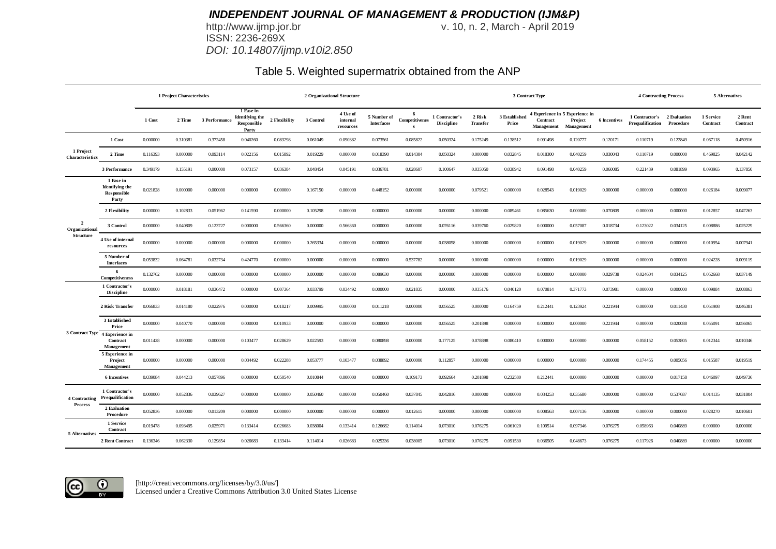http://www.ijmp.jor.br<br>ISSN: 2236-269X *DOI: 10.14807/ijmp.v10i2.850* v. 10, n. 2, March - April 2019

### Table 5. Weighted supermatrix obtained from the ANP

|                                  |                                                             |          | 1 Project Characteristics |               |                                                             | 2 Organizational Structure |           |                                   |                                  |                            |                                     |                           |                        | 3 Contract Type        |                                                          |                     |                                                 |           | 5 Alternatives        |                    |
|----------------------------------|-------------------------------------------------------------|----------|---------------------------|---------------|-------------------------------------------------------------|----------------------------|-----------|-----------------------------------|----------------------------------|----------------------------|-------------------------------------|---------------------------|------------------------|------------------------|----------------------------------------------------------|---------------------|-------------------------------------------------|-----------|-----------------------|--------------------|
|                                  |                                                             | 1 Cost   | 2 Time                    | 3 Performance | 1 Ease in<br><b>Identifying</b> the<br>Responsible<br>Party | 2 Flexibility              | 3 Control | 4 Use of<br>internal<br>resources | 5 Number of<br><b>Interfaces</b> | - 6<br>Competitivenes<br>s | 1 Contractor's<br><b>Discipline</b> | 2 Risk<br><b>Transfer</b> | 3 Established<br>Price | Contract<br>Management | 4 Experience in 5 Experience in<br>Project<br>Management | <b>6</b> Incentives | 1 Contractor's 2 Evaluation<br>Prequalification | Procedure | 1 Service<br>Contract | 2 Rent<br>Contract |
|                                  | 1 Cost                                                      | 0.000000 | 0.310381                  | 0.372458      | 0.040260                                                    | 0.083298                   | 0.061049  | 0.090382                          | 0.073561                         | 0.085822                   | 0.050324                            | 0.175249                  | 0.138512               | 0.091498               | 0.120777                                                 | 0.120171            | 0.110719                                        | 0.122849  | 0.067118              | 0.450916           |
| 1 Project<br>Characteristics     | 2 Time                                                      | 0.116393 | 0.000000                  | 0.093114      | 0.022156                                                    | 0.015892                   | 0.019229  | 0.000000                          | 0.018390                         | 0.014304                   | 0.050324                            | 0.000000                  | 0.032845               | 0.018300               | 0.040259                                                 | 0.030043            | 0.110719                                        | 0.000000  | 0.469825              | 0.042142           |
|                                  | 3 Performance                                               | 0.349179 | 0.155191                  | 0.000000      | 0.073157                                                    | 0.036384                   | 0.048454  | 0.045191                          | 0.036781                         | 0.028607                   | 0.100647                            | 0.035050                  | 0.038942               | 0.091498               | 0.040259                                                 | 0.060085            | 0.221439                                        | 0.081899  | 0.093965              | 0.137850           |
|                                  | 1 Ease in<br><b>Identifying</b> the<br>Responsible<br>Party | 0.021828 | 0.000000                  | 0.000000      | 0.000000                                                    | 0.000000                   | 0.167150  | 0.000000                          | 0.448152                         | 0.000000                   | 0.000000                            | 0.079521                  | 0.000000               | 0.028543               | 0.019029                                                 | 0.000000            | 0.000000                                        | 0.000000  | 0.026184              | 0.009077           |
|                                  | 2 Flexibility                                               | 0.000000 | 0.102833                  | 0.051962      | 0.141590                                                    | 0.000000                   | 0.105298  | 0.000000                          | 0.000000                         | 0.000000                   | 0.000000                            | 0.000000                  | 0.089461               | 0.085630               | 0.000000                                                 | 0.070809            | 0.000000                                        | 0.000000  | 0.012857              | 0.047263           |
| $\overline{2}$<br>Organizational | 3 Control                                                   | 0.000000 | 0.040809                  | 0.123727      | 0.000000                                                    | 0.566360                   | 0.000000  | 0.566360                          | 0.000000                         | 0.000000                   | 0.076116                            | 0.039760                  | 0.029820               | 0.000000               | 0.057087                                                 | 0.018734            | 0.123022                                        | 0.034125  | 0.008886              | 0.025229           |
| Structure                        | 4 Use of internal<br>resources                              | 0.000000 | 0.000000                  | 0.000000      | 0.000000                                                    | 0.000000                   | 0.265334  | 0.000000                          | 0.000000                         | 0.000000                   | 0.038058                            | 0.000000                  | 0.000000               | 0.000000               | 0.019029                                                 | 0.000000            | 0.000000                                        | 0.000000  | 0.010954              | 0.007941           |
|                                  | 5 Number of<br><b>Interfaces</b>                            | 0.053832 | 0.064781                  | 0.032734      | 0.424770                                                    | 0.000000                   | 0.000000  | 0.000000                          | 0.000000                         | 0.537782                   | 0.000000                            | 0.000000                  | 0.000000               | 0.000000               | 0.019029                                                 | 0.000000            | 0.000000                                        | 0.000000  | 0.024228              | 0.009119           |
|                                  | -6<br>Competitiveness                                       | 0.132762 | 0.000000                  | 0.000000      | 0.000000                                                    | 0.000000                   | 0.000000  | 0.000000                          | 0.089630                         | 0.000000                   | 0.000000                            | 0.000000                  | 0.000000               | 0.000000               | 0.000000                                                 | 0.029738            | 0.024604                                        | 0.034125  | 0.052668              | 0.037149           |
|                                  | 1 Contractor's<br><b>Discipline</b>                         | 0.000000 | 0.018181                  | 0.036472      | 0.000000                                                    | 0.007364                   | 0.033799  | 0.034492                          | 0.000000                         | 0.021835                   | 0.000000                            | 0.035176                  | 0.040120               | 0.070814               | 0.371773                                                 | 0.073981            | 0.000000                                        | 0.000000  | 0.009884              | 0.008863           |
|                                  | 2 Risk Transfer                                             | 0.066833 | 0.014180                  | 0.022976      | 0.000000                                                    | 0.018217                   | 0.009995  | 0.000000                          | 0.011218                         | 0.000000                   | 0.056525                            | 0.000000                  | 0.164759               | 0.212441               | 0.123924                                                 | 0.221944            | 0.000000                                        | 0.011430  | 0.051908              | 0.046381           |
|                                  | 3 Established<br>Price                                      | 0.000000 | 0.040770                  | 0.000000      | 0.000000                                                    | 0.010933                   | 0.000000  | 0.000000                          | 0.000000                         | 0.000000                   | 0.056525                            | 0.201898                  | 0.000000               | 0.000000               | 0.000000                                                 | 0.221944            | 0.000000                                        | 0.020088  | 0.055091              | 0.056065           |
|                                  | 3 Contract Type 4 Experience in<br>Contract<br>Management   | 0.011428 | 0.000000                  | 0.000000      | 0.103477                                                    | 0.028629                   | 0.022593  | 0.000000                          | 0.080898                         | 0.000000                   | 0.177125                            | 0.078898                  | 0.080410               | 0.000000               | 0.000000                                                 | 0.000000            | 0.058152                                        | 0.053805  | 0.012344              | 0.010346           |
|                                  | 5 Experience in<br>Project<br>Management                    | 0.000000 | 0.000000                  | 0.000000      | 0.034492                                                    | 0.022288                   | 0.053777  | 0.103477                          | 0.038892                         | 0.000000                   | 0.112857                            | 0.000000                  | 0.000000               | 0.000000               | 0.000000                                                 | 0.000000            | 0.174455                                        | 0.005056  | 0.015587              | 0.019519           |
|                                  | <b>6</b> Incentives                                         | 0.039084 | 0.044213                  | 0.057896      | 0.000000                                                    | 0.050540                   | 0.010844  | 0.000000                          | 0.000000                         | 0.109173                   | 0.092664                            | 0.201898                  | 0.232580               | 0.212441               | 0.000000                                                 | 0.000000            | 0.000000                                        | 0.017158  | 0.046097              | 0.049736           |
| 4 Contracting                    | 1 Contractor's<br>Prequalification                          | 0.000000 | 0.052836                  | 0.039627      | 0.000000                                                    | 0.000000                   | 0.050460  | 0.000000                          | 0.050460                         | 0.037845                   | 0.042816                            | 0.000000                  | 0.000000               | 0.034253               | 0.035680                                                 | 0.000000            | 0.000000                                        | 0.537687  | 0.014135              | 0.031804           |
| Process                          | 2 Evaluation<br>Procedure                                   | 0.052836 | 0.000000                  | 0.013209      | 0.000000                                                    | 0.000000                   | 0.000000  | 0.000000                          | 0.000000                         | 0.012615                   | 0.000000                            | 0.000000                  | 0.000000               | 0.008563               | 0.007136                                                 | 0.000000            | 0.000000                                        | 0.000000  | 0.028270              | 0.010601           |
| 5 Alternatives                   | 1 Service<br>Contract                                       | 0.019478 | 0.093495                  | 0.025971      | 0.133414                                                    | 0.026683                   | 0.038004  | 0.133414                          | 0.126682                         | 0.114014                   | 0.073010                            | 0.076275                  | 0.061020               | 0.109514               | 0.097346                                                 | 0.076275            | 0.058963                                        | 0.040889  | 0.000000              | 0.000000           |
|                                  | 2 Rent Contract                                             | 0.136346 | 0.062330                  | 0.129854      | 0.026683                                                    | 0.133414                   | 0.114014  | 0.026683                          | 0.025336                         | 0.038005                   | 0.073010                            | 0.076275                  | 0.091530               | 0.036505               | 0.048673                                                 | 0.076275            | 0.117926                                        | 0.040889  | 0.000000              | 0.000000           |

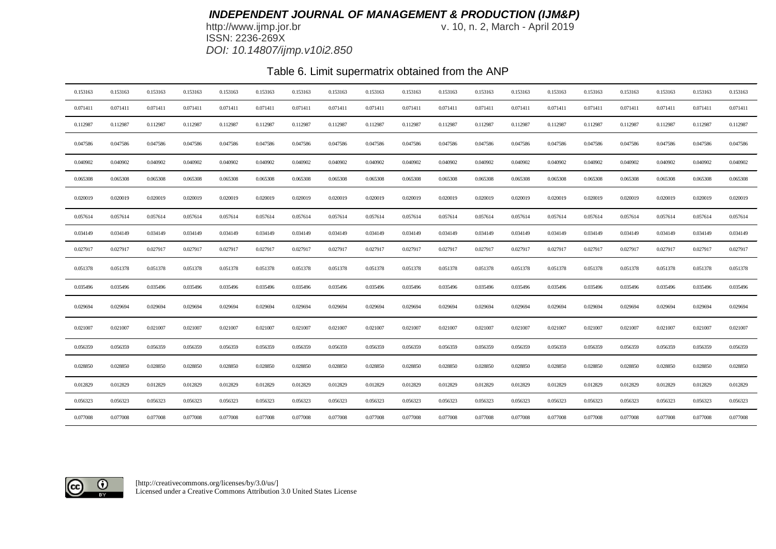http://www.ijmp.jor.br<br>ISSN: 2236-269X *DOI: 10.14807/ijmp.v10i2.850* v. 10, n. 2, March - April 2019

# Table 6. Limit supermatrix obtained from the ANP

| 0.153163 | 0.153163 | 0.153163 | 0.153163 | 0.153163 | 0.153163 | 0.153163 | 0.153163 | 0.153163 | 0.153163 | 0.153163 | 0.153163 | 0.153163 | 0.153163 | 0.153163 | 0.153163 | 0.153163 | 0.153163 | 0.153163 |
|----------|----------|----------|----------|----------|----------|----------|----------|----------|----------|----------|----------|----------|----------|----------|----------|----------|----------|----------|
| 0.071411 | 0.071411 | 0.071411 | 0.071411 | 0.071411 | 0.071411 | 0.071411 | 0.071411 | 0.071411 | 0.071411 | 0.071411 | 0.071411 | 0.071411 | 0.071411 | 0.071411 | 0.071411 | 0.071411 | 0.071411 | 0.071411 |
| 0.112987 | 0.112987 | 0.112987 | 0.112987 | 0.112987 | 0.112987 | 0.112987 | 0.112987 | 0.112987 | 0.112987 | 0.112987 | 0.112987 | 0.112987 | 0.112987 | 0.112987 | 0.112987 | 0.112987 | 0.112987 | 0.112987 |
| 0.047586 | 0.047586 | 0.047586 | 0.047586 | 0.047586 | 0.047586 | 0.047586 | 0.047586 | 0.047586 | 0.047586 | 0.047586 | 0.047586 | 0.047586 | 0.047586 | 0.047586 | 0.047586 | 0.047586 | 0.047586 | 0.047586 |
| 0.040902 | 0.040902 | 0.040902 | 0.040902 | 0.040902 | 0.040902 | 0.040902 | 0.040902 | 0.040902 | 0.040902 | 0.040902 | 0.040902 | 0.040902 | 0.040902 | 0.040902 | 0.040902 | 0.040902 | 0.040902 | 0.040902 |
| 0.065308 | 0.065308 | 0.065308 | 0.065308 | 0.065308 | 0.065308 | 0.065308 | 0.065308 | 0.065308 | 0.065308 | 0.065308 | 0.065308 | 0.065308 | 0.065308 | 0.065308 | 0.065308 | 0.065308 | 0.065308 | 0.065308 |
| 0.020019 | 0.020019 | 0.020019 | 0.020019 | 0.020019 | 0.020019 | 0.020019 | 0.020019 | 0.020019 | 0.020019 | 0.020019 | 0.020019 | 0.020019 | 0.020019 | 0.020019 | 0.020019 | 0.020019 | 0.020019 | 0.020019 |
| 0.057614 | 0.057614 | 0.057614 | 0.057614 | 0.057614 | 0.057614 | 0.057614 | 0.057614 | 0.057614 | 0.057614 | 0.057614 | 0.057614 | 0.057614 | 0.057614 | 0.057614 | 0.057614 | 0.057614 | 0.057614 | 0.057614 |
| 0.034149 | 0.034149 | 0.034149 | 0.034149 | 0.034149 | 0.034149 | 0.034149 | 0.034149 | 0.034149 | 0.034149 | 0.034149 | 0.034149 | 0.034149 | 0.034149 | 0.034149 | 0.034149 | 0.034149 | 0.034149 | 0.034149 |
| 0.027917 | 0.027917 | 0.027917 | 0.027917 | 0.027917 | 0.027917 | 0.027917 | 0.027917 | 0.027917 | 0.027917 | 0.027917 | 0.027917 | 0.027917 | 0.027917 | 0.027917 | 0.027917 | 0.027917 | 0.027917 | 0.027917 |
| 0.051378 | 0.051378 | 0.051378 | 0.051378 | 0.051378 | 0.051378 | 0.051378 | 0.051378 | 0.051378 | 0.051378 | 0.051378 | 0.051378 | 0.051378 | 0.051378 | 0.051378 | 0.051378 | 0.051378 | 0.051378 | 0.051378 |
| 0.035496 | 0.035496 | 0.035496 | 0.035496 | 0.035496 | 0.035496 | 0.035496 | 0.035496 | 0.035496 | 0.035496 | 0.035496 | 0.035496 | 0.035496 | 0.035496 | 0.035496 | 0.035496 | 0.035496 | 0.035496 | 0.035496 |
| 0.029694 | 0.029694 | 0.029694 | 0.029694 | 0.029694 | 0.029694 | 0.029694 | 0.029694 | 0.029694 | 0.029694 | 0.029694 | 0.029694 | 0.029694 | 0.029694 | 0.029694 | 0.029694 | 0.029694 | 0.029694 | 0.029694 |
| 0.021007 | 0.021007 | 0.021007 | 0.021007 | 0.021007 | 0.021007 | 0.021007 | 0.021007 | 0.021007 | 0.021007 | 0.021007 | 0.021007 | 0.021007 | 0.021007 | 0.021007 | 0.021007 | 0.021007 | 0.021007 | 0.021007 |
| 0.056359 | 0.056359 | 0.056359 | 0.056359 | 0.056359 | 0.056359 | 0.056359 | 0.056359 | 0.056359 | 0.056359 | 0.056359 | 0.056359 | 0.056359 | 0.056359 | 0.056359 | 0.056359 | 0.056359 | 0.056359 | 0.056359 |
| 0.028850 | 0.028850 | 0.028850 | 0.028850 | 0.028850 | 0.028850 | 0.028850 | 0.028850 | 0.028850 | 0.028850 | 0.028850 | 0.028850 | 0.028850 | 0.028850 | 0.028850 | 0.028850 | 0.028850 | 0.028850 | 0.028850 |
| 0.012829 | 0.012829 | 0.012829 | 0.012829 | 0.012829 | 0.012829 | 0.012829 | 0.012829 | 0.012829 | 0.012829 | 0.012829 | 0.012829 | 0.012829 | 0.012829 | 0.012829 | 0.012829 | 0.012829 | 0.012829 | 0.012829 |
| 0.056323 | 0.056323 | 0.056323 | 0.056323 | 0.056323 | 0.056323 | 0.056323 | 0.056323 | 0.056323 | 0.056323 | 0.056323 | 0.056323 | 0.056323 | 0.056323 | 0.056323 | 0.056323 | 0.056323 | 0.056323 | 0.056323 |
| 0.077008 | 0.077008 | 0.077008 | 0.077008 | 0.077008 | 0.077008 | 0.077008 | 0.077008 | 0.077008 | 0.077008 | 0.077008 | 0.077008 | 0.077008 | 0.077008 | 0.077008 | 0.077008 | 0.077008 | 0.077008 | 0.077008 |

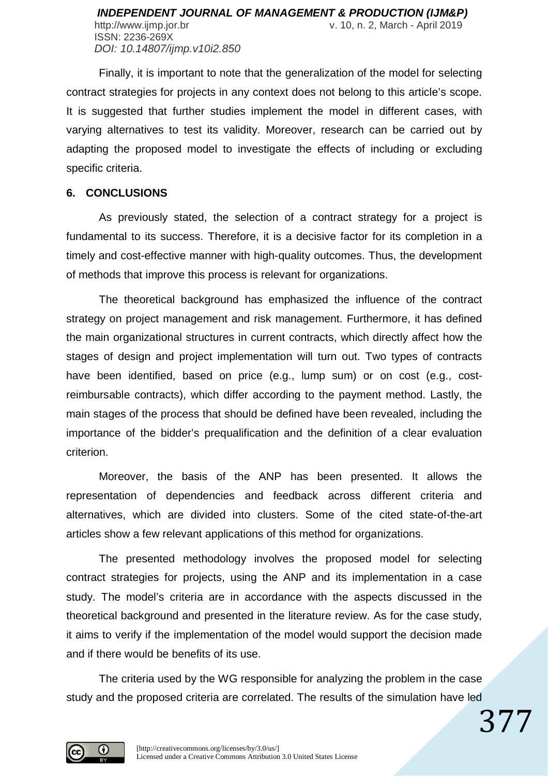ISSN: 2236-269X *DOI: 10.14807/ijmp.v10i2.850*

Finally, it is important to note that the generalization of the model for selecting contract strategies for projects in any context does not belong to this article's scope. It is suggested that further studies implement the model in different cases, with varying alternatives to test its validity. Moreover, research can be carried out by adapting the proposed model to investigate the effects of including or excluding specific criteria.

#### **6. CONCLUSIONS**

As previously stated, the selection of a contract strategy for a project is fundamental to its success. Therefore, it is a decisive factor for its completion in a timely and cost-effective manner with high-quality outcomes. Thus, the development of methods that improve this process is relevant for organizations.

The theoretical background has emphasized the influence of the contract strategy on project management and risk management. Furthermore, it has defined the main organizational structures in current contracts, which directly affect how the stages of design and project implementation will turn out. Two types of contracts have been identified, based on price (e.g., lump sum) or on cost (e.g., costreimbursable contracts), which differ according to the payment method. Lastly, the main stages of the process that should be defined have been revealed, including the importance of the bidder's prequalification and the definition of a clear evaluation criterion.

Moreover, the basis of the ANP has been presented. It allows the representation of dependencies and feedback across different criteria and alternatives, which are divided into clusters. Some of the cited state-of-the-art articles show a few relevant applications of this method for organizations.

The presented methodology involves the proposed model for selecting contract strategies for projects, using the ANP and its implementation in a case study. The model's criteria are in accordance with the aspects discussed in the theoretical background and presented in the literature review. As for the case study, it aims to verify if the implementation of the model would support the decision made and if there would be benefits of its use.

The criteria used by the WG responsible for analyzing the problem in the case study and the proposed criteria are correlated. The results of the simulation have led

377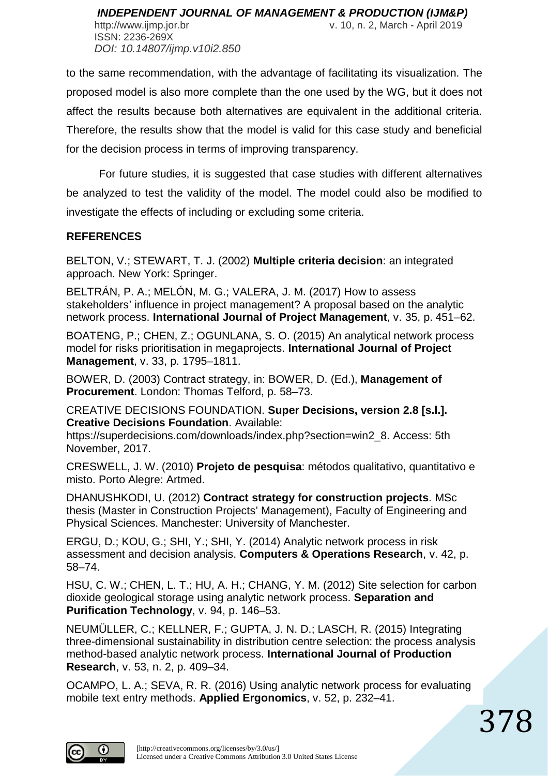ISSN: 2236-269X *DOI: 10.14807/ijmp.v10i2.850*

http://www.ijmp.jor.br v. 10, n. 2, March - April 2019

to the same recommendation, with the advantage of facilitating its visualization. The proposed model is also more complete than the one used by the WG, but it does not affect the results because both alternatives are equivalent in the additional criteria. Therefore, the results show that the model is valid for this case study and beneficial for the decision process in terms of improving transparency.

For future studies, it is suggested that case studies with different alternatives be analyzed to test the validity of the model. The model could also be modified to investigate the effects of including or excluding some criteria.

### **REFERENCES**

BELTON, V.; STEWART, T. J. (2002) **Multiple criteria decision**: an integrated approach. New York: Springer.

BELTRÁN, P. A.; MELÓN, M. G.; VALERA, J. M. (2017) How to assess stakeholders' influence in project management? A proposal based on the analytic network process. **International Journal of Project Management**, v. 35, p. 451–62.

BOATENG, P.; CHEN, Z.; OGUNLANA, S. O. (2015) An analytical network process model for risks prioritisation in megaprojects. **International Journal of Project Management**, v. 33, p. 1795–1811.

BOWER, D. (2003) Contract strategy, in: BOWER, D. (Ed.), **Management of Procurement**. London: Thomas Telford, p. 58–73.

CREATIVE DECISIONS FOUNDATION. **Super Decisions, version 2.8 [s.l.]. Creative Decisions Foundation**. Available:

https://superdecisions.com/downloads/index.php?section=win2\_8. Access: 5th November, 2017.

CRESWELL, J. W. (2010) **Projeto de pesquisa**: métodos qualitativo, quantitativo e misto. Porto Alegre: Artmed.

DHANUSHKODI, U. (2012) **Contract strategy for construction projects**. MSc thesis (Master in Construction Projects' Management), Faculty of Engineering and Physical Sciences. Manchester: University of Manchester.

ERGU, D.; KOU, G.; SHI, Y.; SHI, Y. (2014) Analytic network process in risk assessment and decision analysis. **Computers & Operations Research**, v. 42, p. 58–74.

HSU, C. W.; CHEN, L. T.; HU, A. H.; CHANG, Y. M. (2012) Site selection for carbon dioxide geological storage using analytic network process. **Separation and Purification Technology**, v. 94, p. 146–53.

NEUMÜLLER, C.; KELLNER, F.; GUPTA, J. N. D.; LASCH, R. (2015) Integrating three-dimensional sustainability in distribution centre selection: the process analysis method-based analytic network process. **International Journal of Production Research**, v. 53, n. 2, p. 409–34.

OCAMPO, L. A.; SEVA, R. R. (2016) Using analytic network process for evaluating mobile text entry methods. **Applied Ergonomics**, v. 52, p. 232–41.